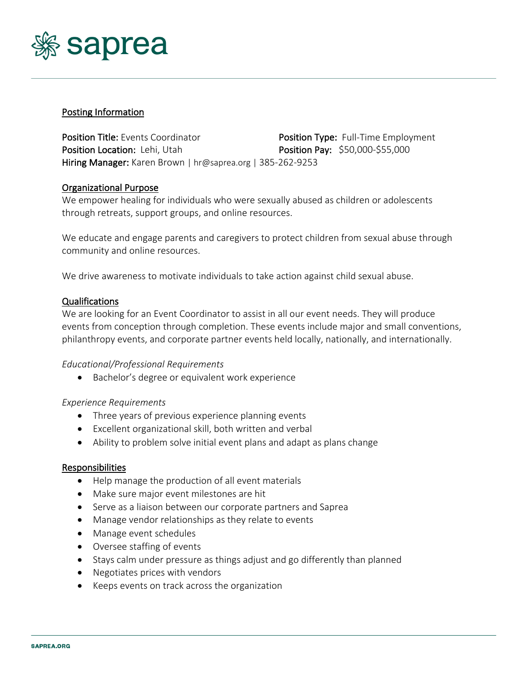

## Posting Information

Position Title: Events Coordinator **Position Type: Full-Time Employment** Position Location: Lehi, Utah Position Pay: \$50,000-\$55,000 Hiring Manager: Karen Brown | hr@saprea.org | 385-262-9253

## Organizational Purpose

We empower healing for individuals who were sexually abused as children or adolescents through retreats, support groups, and online resources.

We educate and engage parents and caregivers to protect children from sexual abuse through community and online resources.

We drive awareness to motivate individuals to take action against child sexual abuse.

## Qualifications

We are looking for an Event Coordinator to assist in all our event needs. They will produce events from conception through completion. These events include major and small conventions, philanthropy events, and corporate partner events held locally, nationally, and internationally.

#### *Educational/Professional Requirements*

• Bachelor's degree or equivalent work experience

#### *Experience Requirements*

- Three years of previous experience planning events
- Excellent organizational skill, both written and verbal
- Ability to problem solve initial event plans and adapt as plans change

#### Responsibilities

- Help manage the production of all event materials
- Make sure major event milestones are hit
- Serve as a liaison between our corporate partners and Saprea
- Manage vendor relationships as they relate to events
- Manage event schedules
- Oversee staffing of events
- Stays calm under pressure as things adjust and go differently than planned
- Negotiates prices with vendors
- Keeps events on track across the organization